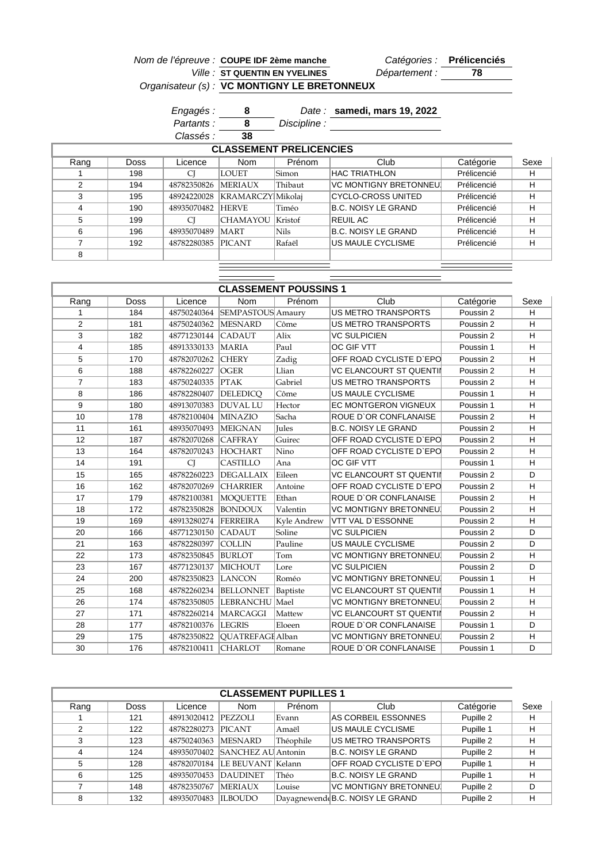|      |      |                   | Nom de l'épreuve : COUPE IDF 2ème manche     |              |                              | Catégories : Prélicenciés |      |
|------|------|-------------------|----------------------------------------------|--------------|------------------------------|---------------------------|------|
|      |      |                   | <b>Ville: ST QUENTIN EN YVELINES</b>         |              | Département :                | 78                        |      |
|      |      |                   | Organisateur (s) : VC MONTIGNY LE BRETONNEUX |              |                              |                           |      |
|      |      | Engagés :         | 8                                            |              | Date: samedi, mars 19, 2022  |                           |      |
|      |      | <i>Partants :</i> | 8                                            | Discipline : |                              |                           |      |
|      |      | Classés :         | 38                                           |              |                              |                           |      |
|      |      |                   | <b>CLASSEMENT PRELICENCIES</b>               |              |                              |                           |      |
| Rang | Doss | Licence           | <b>Nom</b>                                   | Prénom       | Club                         | Catégorie                 | Sexe |
|      | 198  | CI                | LOUET                                        | Simon        | <b>HAC TRIATHLON</b>         | Prélicencié               | н    |
| 2    | 194  | 48782350826       | <b> MERIAUX</b>                              | Thibaut      | <b>VC MONTIGNY BRETONNEU</b> | Prélicencié               | H    |
| 3    | 195  | 48924220028       | KRAMARCZY Mikolaj                            |              | CYCLO-CROSS UNITED           | Prélicencié               | н    |
| 4    | 190  | 48935070482       | <b>HERVE</b>                                 | Timéo        | <b>B.C. NOISY LE GRAND</b>   | Prélicencié               | н    |
| 5    | 199  | CI                | <b>CHAMAYOU</b>                              | Kristof      | <b>REUIL AC</b>              | Prélicencié               | н    |
| 6    | 196  | 48935070489       | MART                                         | Nils         | <b>B.C. NOISY LE GRAND</b>   | Prélicencié               | н    |
| 7    | 192  | 48782280385       | <b>PICANT</b>                                | Rafaël       | US MAULE CYCLISME            | Prélicencié               | н    |
|      |      |                   |                                              |              |                              |                           |      |

Ξ

| <b>CLASSEMENT POUSSINS 1</b> |      |                     |                      |              |                                |           |      |  |
|------------------------------|------|---------------------|----------------------|--------------|--------------------------------|-----------|------|--|
| Rang                         | Doss | Licence             | <b>Nom</b>           | Prénom       | Club                           | Catégorie | Sexe |  |
|                              | 184  | 48750240364         | SEMPASTOUS Amaury    |              | <b>US METRO TRANSPORTS</b>     | Poussin 2 | H    |  |
| $\overline{2}$               | 181  | 48750240362         | <b>MESNARD</b>       | Côme         | US METRO TRANSPORTS            | Poussin 2 | H    |  |
| 3                            | 182  | 48771230144         | <b>CADAUT</b>        | Alix         | <b>VC SULPICIEN</b>            | Poussin 2 | н    |  |
| $\overline{4}$               | 185  | 48913330133         | <b>MARIA</b>         | Paul         | <b>OC GIF VTT</b>              | Poussin 1 | H    |  |
| 5                            | 170  | 48782070262         | <b>CHERY</b>         | Zadig        | OFF ROAD CYCLISTE D'EPO        | Poussin 2 | H    |  |
| 6                            | 188  | 48782260227         | <b>OGER</b>          | Llian        | <b>VC ELANCOURT ST QUENTII</b> | Poussin 2 | H    |  |
| $\overline{7}$               | 183  | 48750240335         | <b>PTAK</b>          | Gabriel      | <b>US METRO TRANSPORTS</b>     | Poussin 2 | н    |  |
| 8                            | 186  | 48782280407         | <b>DELEDICO</b>      | Côme         | <b>US MAULE CYCLISME</b>       | Poussin 1 | Н    |  |
| 9                            | 180  | 48913070383         | <b>DUVAL LU</b>      | Hector       | <b>EC MONTGERON VIGNEUX</b>    | Poussin 1 | H    |  |
| 10                           | 178  | 48782100404 MINAZIO |                      | Sacha        | ROUE D'OR CONFLANAISE          | Poussin 2 | H    |  |
| 11                           | 161  | 48935070493         | <b>MEIGNAN</b>       | <b>Jules</b> | <b>B.C. NOISY LE GRAND</b>     | Poussin 2 | н    |  |
| 12                           | 187  | 48782070268         | <b>CAFFRAY</b>       | Guirec       | OFF ROAD CYCLISTE D'EPO        | Poussin 2 | H    |  |
| 13                           | 164  | 48782070243         | <b>HOCHART</b>       | Nino         | OFF ROAD CYCLISTE D'EPO        | Poussin 2 | н    |  |
| 14                           | 191  | CI                  | <b>CASTILLO</b>      | Ana          | <b>OC GIF VTT</b>              | Poussin 1 | н    |  |
| 15                           | 165  | 48782260223         | <b>DEGALLAIX</b>     | Eileen       | <b>VC ELANCOURT ST QUENTII</b> | Poussin 2 | D    |  |
| 16                           | 162  | 48782070269         | <b>CHARRIER</b>      | Antoine      | OFF ROAD CYCLISTE D'EPO        | Poussin 2 | H    |  |
| 17                           | 179  | 48782100381         | MOQUETTE             | Ethan        | ROUE D'OR CONFLANAISE          | Poussin 2 | H    |  |
| 18                           | 172  | 48782350828         | <b>BONDOUX</b>       | Valentin     | <b>VC MONTIGNY BRETONNEU</b>   | Poussin 2 | Η    |  |
| 19                           | 169  | 48913280274         | FERREIRA             | Kyle Andrew  | VTT VAL D'ESSONNE              | Poussin 2 | H    |  |
| 20                           | 166  | 48771230150         | <b>CADAUT</b>        | Soline       | <b>VC SULPICIEN</b>            | Poussin 2 | D    |  |
| 21                           | 163  | 48782280397         | <b>COLLIN</b>        | Pauline      | <b>US MAULE CYCLISME</b>       | Poussin 2 | D    |  |
| 22                           | 173  | 48782350845         | <b>BURLOT</b>        | Tom          | <b>VC MONTIGNY BRETONNEU</b>   | Poussin 2 | H    |  |
| 23                           | 167  | 48771230137         | <b>MICHOUT</b>       | Lore         | <b>VC SULPICIEN</b>            | Poussin 2 | D    |  |
| 24                           | 200  | 48782350823         | <b>LANCON</b>        | Roméo        | <b>VC MONTIGNY BRETONNEU</b>   | Poussin 1 | H    |  |
| 25                           | 168  | 48782260234         | <b>BELLONNET</b>     | Baptiste     | <b>VC ELANCOURT ST QUENTII</b> | Poussin 1 | Η    |  |
| 26                           | 174  | 48782350805         | LEBRANCHU Mael       |              | <b>VC MONTIGNY BRETONNEU</b>   | Poussin 2 | H    |  |
| 27                           | 171  |                     | 48782260214 MARCAGGI | Mattew       | <b>VC ELANCOURT ST QUENTII</b> | Poussin 2 | H    |  |
| 28                           | 177  | 48782100376 LEGRIS  |                      | Eloeen       | <b>ROUE D'OR CONFLANAISE</b>   | Poussin 1 | D    |  |
| 29                           | 175  | 48782350822         | QUATREFAGI Alban     |              | <b>VC MONTIGNY BRETONNEU</b>   | Poussin 2 | H    |  |
| 30                           | 176  | 48782100411         | <b>CHARLOT</b>       | Romane       | ROUE D'OR CONFLANAISE          | Poussin 1 | D    |  |
|                              |      |                     |                      |              |                                |           |      |  |

| <b>CLASSEMENT PUPILLES 1</b> |      |             |                           |           |                                 |           |      |  |  |
|------------------------------|------|-------------|---------------------------|-----------|---------------------------------|-----------|------|--|--|
| Rang                         | Doss | Licence     | <b>Nom</b>                | Prénom    | Club                            | Catégorie | Sexe |  |  |
|                              | 121  | 48913020412 | <b>PEZZOLI</b>            | ∣Evann    | AS CORBEIL ESSONNES             | Pupille 2 | н    |  |  |
| 2                            | 122  | 48782280273 | <b>PICANT</b>             | Amaël     | US MAULE CYCLISME               | Pupille 1 | н    |  |  |
| 3                            | 123  | 48750240363 | <b>MESNARD</b>            | Théophile | US METRO TRANSPORTS             | Pupille 2 | н    |  |  |
|                              | 124  | 48935070402 | <b>SANCHEZ AU Antonin</b> |           | <b>B.C. NOISY LE GRAND</b>      | Pupille 2 | Н    |  |  |
| 5                            | 128  | 48782070184 | LE BEUVANT Kelann         |           | OFF ROAD CYCLISTE D`EPC         | Pupille 1 | н    |  |  |
| 6                            | 125  | 48935070453 | <b>DAUDINET</b>           | Théo      | <b>B.C. NOISY LE GRAND</b>      | Pupille 1 | н    |  |  |
|                              | 148  | 48782350767 | <b>MERIAUX</b>            | Louise    | VC MONTIGNY BRETONNEU           | Pupille 2 | D    |  |  |
| 8                            | 132  | 48935070483 | <b>ILBOUDO</b>            |           | DayagnewendeB.C. NOISY LE GRAND | Pupille 2 | н    |  |  |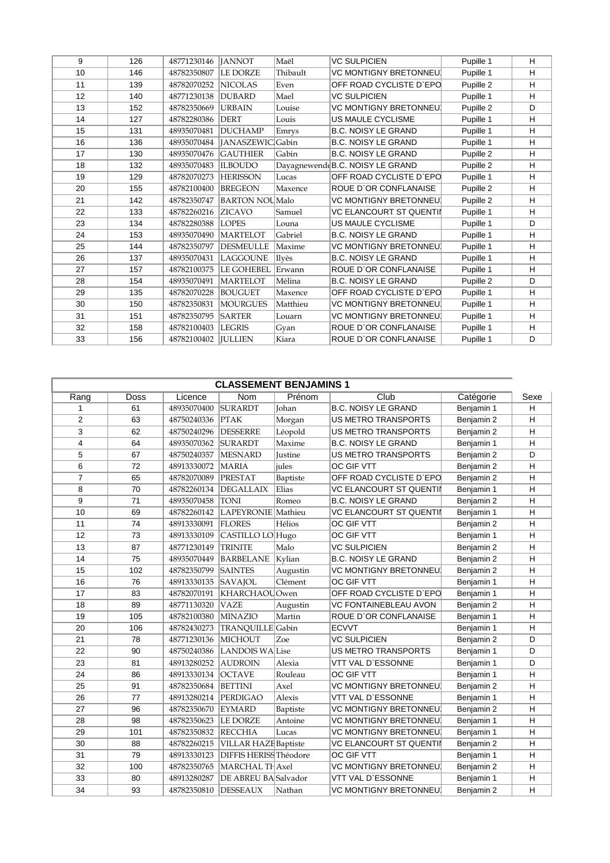| 9  | 126 | 48771230146           | <b>IANNOT</b>         | Maël     | <b>VC SULPICIEN</b>             | Pupille 1 | H |
|----|-----|-----------------------|-----------------------|----------|---------------------------------|-----------|---|
| 10 | 146 | 48782350807           | <b>LE DORZE</b>       | Thibault | <b>VC MONTIGNY BRETONNEU</b>    | Pupille 1 | н |
| 11 | 139 | 48782070252           | <b>NICOLAS</b>        | Even     | OFF ROAD CYCLISTE D'EPO         | Pupille 2 | H |
| 12 | 140 | 48771230138           | <b>DUBARD</b>         | Mael     | <b>VC SULPICIEN</b>             | Pupille 1 | н |
| 13 | 152 | 48782350669           | <b>URBAIN</b>         | Louise   | <b>VC MONTIGNY BRETONNEU</b>    | Pupille 2 | D |
| 14 | 127 | 48782280386           | <b>DERT</b>           | Louis    | <b>US MAULE CYCLISME</b>        | Pupille 1 | н |
| 15 | 131 | 48935070481           | <b>DUCHAMP</b>        | Emrys    | <b>B.C. NOISY LE GRAND</b>      | Pupille 1 | H |
| 16 | 136 | 48935070484           | [JANASZEWIC]Gabin     |          | <b>B.C. NOISY LE GRAND</b>      | Pupille 1 | н |
| 17 | 130 | 48935070476           | <b>GAUTHIER</b>       | Gabin    | <b>B.C. NOISY LE GRAND</b>      | Pupille 2 | н |
| 18 | 132 | 48935070483           | <b>ILBOUDO</b>        |          | Dayagnewend(B.C. NOISY LE GRAND | Pupille 2 | н |
| 19 | 129 | 48782070273           | <b>HERISSON</b>       | Lucas    | OFF ROAD CYCLISTE D'EPO         | Pupille 1 | H |
| 20 | 155 | 48782100400           | <b>BREGEON</b>        | Maxence  | ROUE D'OR CONFLANAISE           | Pupille 2 | н |
| 21 | 142 | 48782350747           | <b>BARTON NOUMalo</b> |          | <b>VC MONTIGNY BRETONNEU</b>    | Pupille 2 | H |
| 22 | 133 | 48782260216           | <b>ZICAVO</b>         | Samuel   | <b>VC ELANCOURT ST QUENTII</b>  | Pupille 1 | н |
| 23 | 134 | 48782280388           | <b>LOPES</b>          | Louna    | <b>US MAULE CYCLISME</b>        | Pupille 1 | D |
| 24 | 153 | 48935070490           | <b>MARTELOT</b>       | Gabriel  | <b>B.C. NOISY LE GRAND</b>      | Pupille 1 | н |
| 25 | 144 | 48782350797           | DESMEULLE             | Maxime   | <b>VC MONTIGNY BRETONNEU</b>    | Pupille 1 | H |
| 26 | 137 | 48935070431           | LAGGOUNE              | Ilvès    | <b>B.C. NOISY LE GRAND</b>      | Pupille 1 | н |
| 27 | 157 | 48782100375           | <b>LE GOHEBEL</b>     | Erwann   | ROUE D'OR CONFLANAISE           | Pupille 1 | н |
| 28 | 154 | 48935070491           | <b>MARTELOT</b>       | Mélina   | <b>B.C. NOISY LE GRAND</b>      | Pupille 2 | D |
| 29 | 135 | 48782070228           | <b>BOUGUET</b>        | Maxence  | OFF ROAD CYCLISTE D'EPO         | Pupille 1 | н |
| 30 | 150 | 48782350831           | <b>MOURGUES</b>       | Matthieu | <b>VC MONTIGNY BRETONNEU</b>    | Pupille 1 | н |
| 31 | 151 | 48782350795           | <b>SARTER</b>         | Louarn   | <b>VC MONTIGNY BRETONNEU</b>    | Pupille 1 | н |
| 32 | 158 | 48782100403           | <b>LEGRIS</b>         | Gyan     | ROUE D'OR CONFLANAISE           | Pupille 1 | H |
| 33 | 156 | 48782100402   JULLIEN |                       | Kiara    | ROUE D'OR CONFLANAISE           | Pupille 1 | D |

| <b>CLASSEMENT BENJAMINS 1</b> |             |             |                               |          |                                |            |              |  |
|-------------------------------|-------------|-------------|-------------------------------|----------|--------------------------------|------------|--------------|--|
| Rang                          | <b>Doss</b> | Licence     | <b>Nom</b>                    | Prénom   | Club                           | Catégorie  | Sexe         |  |
| $\mathbf{1}$                  | 61          | 48935070400 | <b>SURARDT</b>                | Johan    | <b>B.C. NOISY LE GRAND</b>     | Benjamin 1 | H            |  |
| $\overline{2}$                | 63          | 48750240336 | <b>PTAK</b>                   | Morgan   | US METRO TRANSPORTS            | Benjamin 2 | H            |  |
| 3                             | 62          | 48750240296 | <b>DESSERRE</b>               | Léopold  | US METRO TRANSPORTS            | Benjamin 2 | H            |  |
| $\overline{4}$                | 64          | 48935070362 | <b>SURARDT</b>                | Maxime   | <b>B.C. NOISY LE GRAND</b>     | Benjamin 1 | H            |  |
| 5                             | 67          | 48750240357 | <b>MESNARD</b>                | Justine  | <b>US METRO TRANSPORTS</b>     | Benjamin 2 | D            |  |
| 6                             | 72          | 48913330072 | <b>MARIA</b>                  | jules    | <b>OC GIF VTT</b>              | Benjamin 2 | H            |  |
| $\overline{7}$                | 65          | 48782070089 | PRESTAT                       | Baptiste | OFF ROAD CYCLISTE D'EPO        | Benjamin 2 | Н            |  |
| 8                             | 70          | 48782260134 | <b>DEGALLAIX</b>              | Elias    | <b>VC ELANCOURT ST QUENTII</b> | Benjamin 1 | H            |  |
| 9                             | 71          | 48935070458 | TONI                          | Romeo    | <b>B.C. NOISY LE GRAND</b>     | Benjamin 2 | н            |  |
| 10                            | 69          | 48782260142 | LAPEYRONIE Mathieu            |          | <b>VC ELANCOURT ST QUENTII</b> | Benjamin 1 | $\mathsf{H}$ |  |
| 11                            | 74          | 48913330091 | <b>FLORES</b>                 | Hélios   | OC GIF VTT                     | Benjamin 2 | H            |  |
| 12                            | 73          | 48913330109 | CASTILLO LO Hugo              |          | OC GIF VTT                     | Benjamin 1 | н            |  |
| 13                            | 87          | 48771230149 | <b>TRINITE</b>                | Malo     | <b>VC SULPICIEN</b>            | Benjamin 2 | н            |  |
| 14                            | 75          | 48935070449 | <b>BARBELANE</b>              | Kylian   | <b>B.C. NOISY LE GRAND</b>     | Benjamin 2 | н            |  |
| 15                            | 102         | 48782350799 | <b>SAINTES</b>                | Augustin | <b>VC MONTIGNY BRETONNEU</b>   | Benjamin 2 | н            |  |
| 16                            | 76          | 48913330135 | <b>SAVAJOL</b>                | Clément  | <b>OC GIF VTT</b>              | Benjamin 1 | н            |  |
| 17                            | 83          | 48782070191 | KHARCHAOUOwen                 |          | OFF ROAD CYCLISTE D'EPO        | Benjamin 1 | н            |  |
| 18                            | 89          | 48771130320 | <b>VAZE</b>                   | Augustin | <b>VC FONTAINEBLEAU AVON</b>   | Benjamin 2 | Η            |  |
| 19                            | 105         | 48782100380 | MINAZIO                       | Martin   | ROUE D'OR CONFLANAISE          | Benjamin 1 | H            |  |
| 20                            | 106         | 48782430273 | <b>TRANQUILLE</b> Gabin       |          | <b>ECVVT</b>                   | Benjamin 1 | H            |  |
| 21                            | 78          | 48771230136 | MICHOUT                       | Zoe      | <b>VC SULPICIEN</b>            | Benjamin 2 | D            |  |
| 22                            | 90          | 48750240386 | LANDOIS WALise                |          | <b>US METRO TRANSPORTS</b>     | Benjamin 1 | D            |  |
| 23                            | 81          | 48913280252 | <b>AUDROIN</b>                | Alexia   | <b>VTT VAL D'ESSONNE</b>       | Benjamin 1 | D            |  |
| 24                            | 86          | 48913330134 | <b>OCTAVE</b>                 | Rouleau  | OC GIF VTT                     | Benjamin 1 | Н            |  |
| 25                            | 91          | 48782350684 | <b>BETTINI</b>                | Axel     | VC MONTIGNY BRETONNEU          | Benjamin 2 | H            |  |
| 26                            | 77          | 48913280214 | PERDIGAO                      | Alexis   | VTT VAL D`ESSONNE              | Benjamin 1 | н            |  |
| 27                            | 96          | 48782350670 | <b>EYMARD</b>                 | Baptiste | VC MONTIGNY BRETONNEU          | Benjamin 2 | H            |  |
| 28                            | 98          | 48782350623 | LE DORZE                      | Antoine  | VC MONTIGNY BRETONNEU          | Benjamin 1 | $\mathsf{H}$ |  |
| 29                            | 101         | 48782350832 | <b>RECCHIA</b>                | Lucas    | VC MONTIGNY BRETONNEU          | Benjamin 1 | H            |  |
| 30                            | 88          | 48782260215 | <b>VILLAR HAZE Baptiste</b>   |          | <b>VC ELANCOURT ST QUENTII</b> | Benjamin 2 | H            |  |
| 31                            | 79          | 48913330123 | <b>DIFFIS HERISS Théodore</b> |          | OC GIF VTT                     | Benjamin 1 | Н            |  |
| 32                            | 100         | 48782350765 | MARCHAL THAxel                |          | <b>VC MONTIGNY BRETONNEU</b>   | Benjamin 2 | H            |  |
| 33                            | 80          | 48913280287 | DE ABREU BA Salvador          |          | VTT VAL D`ESSONNE              | Benjamin 1 | H            |  |
| 34                            | 93          | 48782350810 | <b>DESSEAUX</b>               | Nathan   | <b>VC MONTIGNY BRETONNEU</b>   | Benjamin 2 | Η            |  |